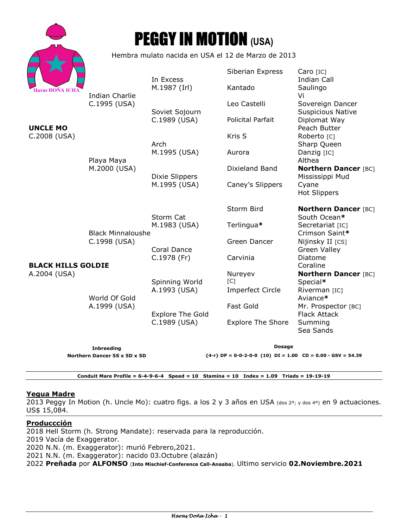

# PEGGY IN MOTION **(USA)**

Hembra mulato nacida en USA el 12 de Marzo de 2013

|                                                           |                                          | In Excess                                                     | Siberian Express         | $Caro$ $[IC]$<br><b>Indian Call</b>            |
|-----------------------------------------------------------|------------------------------------------|---------------------------------------------------------------|--------------------------|------------------------------------------------|
| <b>Haras DOÑA ICHA</b><br><b>UNCLE MO</b><br>C.2008 (USA) | <b>Indian Charlie</b><br>C.1995 (USA)    | M.1987 (Irl)<br>Soviet Sojourn                                | Kantado                  | Saulingo<br>Vi                                 |
|                                                           |                                          |                                                               | Leo Castelli             | Sovereign Dancer<br><b>Suspicious Native</b>   |
|                                                           | Playa Maya<br>M.2000 (USA)               | C.1989 (USA)                                                  | <b>Policital Parfait</b> | Diplomat Way<br>Peach Butter                   |
|                                                           |                                          | Arch                                                          | Kris S                   | Roberto [C]<br>Sharp Queen                     |
|                                                           |                                          | M.1995 (USA)<br>Dixie Slippers                                | Aurora                   | Danzig [IC]<br>Althea                          |
|                                                           |                                          |                                                               | Dixieland Band           | <b>Northern Dancer [BC]</b><br>Mississippi Mud |
|                                                           |                                          | M.1995 (USA)                                                  | Caney's Slippers         | Cyane<br><b>Hot Slippers</b>                   |
|                                                           |                                          | Storm Cat                                                     | Storm Bird               | <b>Northern Dancer [BC]</b><br>South Ocean*    |
|                                                           | <b>Black Minnaloushe</b><br>C.1998 (USA) | M.1983 (USA)                                                  | Terlingua*               | Secretariat [IC]<br>Crimson Saint*             |
|                                                           |                                          | Coral Dance                                                   | Green Dancer             | Nijinsky II [CS]<br><b>Green Valley</b>        |
| <b>BLACK HILLS GOLDIE</b>                                 | World Of Gold<br>A.1999 (USA)            | C.1978 (Fr)                                                   | Carvinia                 | Diatome<br>Coraline                            |
| A.2004 (USA)                                              |                                          | Spinning World                                                | Nureyev<br>[C]           | <b>Northern Dancer [BC]</b><br>Special*        |
|                                                           |                                          | A.1993 (USA)                                                  | <b>Imperfect Circle</b>  | Riverman [IC]<br>Aviance*                      |
|                                                           |                                          | <b>Explore The Gold</b>                                       | <b>Fast Gold</b>         | Mr. Prospector [BC]<br><b>Flack Attack</b>     |
|                                                           |                                          | C.1989 (USA)                                                  | <b>Explore The Shore</b> | Summing<br>Sea Sands                           |
|                                                           | <b>Inbreeding</b>                        | <b>Dosage</b>                                                 |                          |                                                |
| Northern Dancer 5S x 5D x 5D                              |                                          | ${4-r}$ DP = 0-0-2-0-0 (10) DI = 1.00 CD = 0.00 - GSV = 54.39 |                          |                                                |

**Conduit Mare Profile = 6-4-9-6-4 Speed = 10 Stamina = 10 Index = 1.09 Triads = 19-19-19** 

# **Yegua Madre**

2013 Peggy In Motion (h. Uncle Mo): cuatro figs. a los 2 y 3 años en USA (dos 2º; y dos 4º) en 9 actuaciones. US\$ 15,084.

### **Produccción**

2018 Hell Storm (h. Strong Mandate): reservada para la reproducción. 2019 Vacía de Exaggerator. 2020 N.N. (m. Exaggerator): murió Febrero,2021. 2021 N.N. (m. Exaggerator): nacido 03.Octubre (alazán) 2022 **Preñada** por **ALFONSO** (**Into Mischief-Conference Call-Anaaba**). Ultimo servicio **02.Noviembre.2021**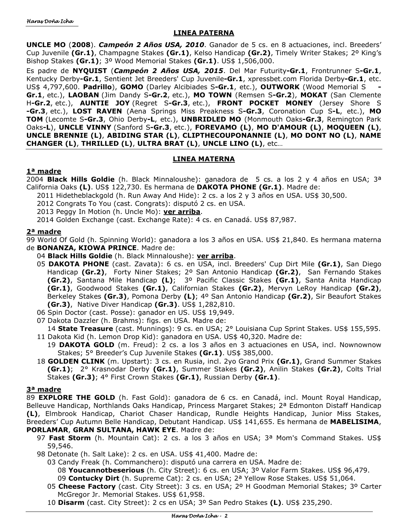# **LINEA PATERNA**

**UNCLE MO** (**2008**). *Campeón 2 Años USA, 2010*. Ganador de 5 cs. en 8 actuaciones, incl. Breeders' Cup Juvenile **(Gr.1)**, Champagne Stakes **(Gr.1)**, Kelso Handicap **(Gr.2)**, Timely Writer Stakes; 2º King's Bishop Stakes **(Gr.1)**; 3º Wood Memorial Stakes **(Gr.1)**. US\$ 1,506,000.

Es padre de **NYQUIST** (*Campeón 2 Años USA, 2015*. Del Mar Futurity**-Gr.1**, Frontrunner S**-Gr.1**, Kentucky Derby**-Gr.1**, Sentient Jet Breeders' Cup Juvenile**-Gr.1**, xpressbet.com Florida Derby**-Gr.1**, etc. US\$ 4,797,600. **Padrillo**), **GOMO** (Darley Alcibiades S**-Gr.1**, etc.), **OUTWORK** (Wood Memorial S **- Gr.1**, etc.), **LAOBAN** (Jim Dandy S**-Gr.2**, etc.), **MO TOWN** (Remsen S**-Gr.2**), **MOKAT** (San Clemente H**-Gr.2**, etc.), **AUNTIE JOY** (Regret S**-Gr.3**, etc.), **FRONT POCKET MONEY** (Jersey Shore S **-Gr.3**, etc.), **LOST RAVEN** (Aena Springs Miss Preakness S**-Gr.3**, Coronation Cup S**-L**, etc.), **MO TOM** (Lecomte S**-Gr.3**, Ohio Derby**-L**, etc.), **UNBRIDLED MO** (Monmouth Oaks**-Gr.3**, Remington Park Oaks**-L**), **UNCLE VINNY** (Sanford S**-Gr.3**, etc.), **FOREVAMO (L)**, **MO D'AMOUR (L)**, **MOQUEEN (L)**, **UNCLE BRENNIE (L)**, **ABIDING STAR (L)**, **CLIPTHECOUPONANNIE (L)**, **MO DONT NO (L)**, **NAME CHANGER (L)**, **THRILLED (L)**, **ULTRA BRAT (L)**, **UNCLE LINO (L)**, etc…

# **LINEA MATERNA**

### **1ª madre**

2004 **Black Hills Goldie** (h. Black Minnaloushe): ganadora de 5 cs. a los 2 y 4 años en USA; 3ª California Oaks **(L)**. US\$ 122,730. Es hermana de **DAKOTA PHONE (Gr.1)**. Madre de:

- 2011 Hidetheblackgold (h. Run Away And Hide): 2 cs. a los 2 y 3 años en USA. US\$ 30,500.
- 2012 Congrats To You (cast. Congrats): disputó 2 cs. en USA.
- 2013 Peggy In Motion (h. Uncle Mo): **ver arriba**.

2014 Golden Exchange (cast. Exchange Rate): 4 cs. en Canadá. US\$ 87,987.

### **2ª madre**

99 World Of Gold (h. Spinning World): ganadora a los 3 años en USA. US\$ 21,840. Es hermana materna de **BONANZA, KIOWA PRINCE**. Madre de:

- 04 **Black Hills Goldie** (h. Black Minnaloushe): **ver arriba**.
- 05 **DAKOTA PHONE** (cast. Zavata): 6 cs. en USA, incl. Breeders' Cup Dirt Mile **(Gr.1)**, San Diego Handicap **(Gr.2)**, Forty Niner Stakes; 2º San Antonio Handicap **(Gr.2)**, San Fernando Stakes **(Gr.2)**, Santana Mile Handicap **(L)**; 3º Pacific Classic Stakes **(Gr.1)**, Santa Anita Handicap **(Gr.1)**, Goodwood Stakes **(Gr.1)**, Californian Stakes **(Gr.2)**, Mervyn LeRoy Handicap **(Gr.2)**, Berkeley Stakes **(Gr.3)**, Pomona Derby **(L)**; 4º San Antonio Handicap **(Gr.2)**, Sir Beaufort Stakes **(Gr.3)**, Native Diver Handicap **(Gr.3)**. US\$ 1,282,810.
- 06 Spin Doctor (cast. Posse): ganador en US. US\$ 19,949.
- 07 Dakota Dazzler (h. Brahms): figs. en USA. Madre de:

14 **State Treasure** (cast. Munnings): 9 cs. en USA; 2° Louisiana Cup Sprint Stakes. US\$ 155,595. 11 Dakota Kid (h. Lemon Drop Kid): ganadora en USA. US\$ 40,320. Madre de:

- 19 **DAKOTA GOLD** (m. Freud): 2 cs. a los 3 años en 3 actuaciones en USA, incl. Nownownow Stakes; 5° Breeder's Cup Juvenile Stakes **(Gr.1)**. US\$ 385,000.
- 18 **GOLDEN CLINK** (m. Upstart): 3 cs. en Rusia, incl. 2yo Grand Prix **(Gr.1)**, Grand Summer Stakes **(Gr.1)**; 2° Krasnodar Derby **(Gr.1)**, Summer Stakes **(Gr.2)**, Anilin Stakes **(Gr.2)**, Colts Trial Stakes **(Gr.3)**; 4° First Crown Stakes **(Gr.1)**, Russian Derby **(Gr.1)**.

# **3ª madre**

89 **EXPLORE THE GOLD** (h. Fast Gold): ganadora de 6 cs. en Canadá, incl. Mount Royal Handicap, Belleuve Handicap, Northlands Oaks Handicap, Princess Margaret Stakes; 2ª Edmonton Distaff Handicap **(L)**, Elmbrook Handicap, Chariot Chaser Handicap, Rundle Heights Handicap, Junior Miss Stakes, Breeders' Cup Autumn Belle Handicap, Debutant Handicap. US\$ 141,655. Es hermana de **MABELISIMA**, **PORLAMAR**, **GRAN SULTANA, HAWK EYE**. Madre de:

- 97 **Fast Storm** (h. Mountain Cat): 2 cs. a los 3 años en USA; 3ª Mom's Command Stakes. US\$ 59,546.
- 98 Detonate (h. Salt Lake): 2 cs. en USA. US\$ 41,400. Madre de:
	- 03 Candy Freak (h. Commanchero): disputó una carrera en USA. Madre de:

08 **Youcannotbeserious** (h. City Street): 6 cs. en USA; 3º Valor Farm Stakes. US\$ 96,479.

09 **Contucky Dirt** (h. Supreme Cat): 2 cs. en USA; 2ª Yellow Rose Stakes. US\$ 51,064.

- 05 **Cheese Factory** (cast. City Street): 3 cs. en USA; 2º H Goodman Memorial Stakes; 3º Carter McGregor Jr. Memorial Stakes. US\$ 61,958.
- 10 **Disarm** (cast. City Street): 2 cs en USA; 3º San Pedro Stakes **(L)**. US\$ 235,290.